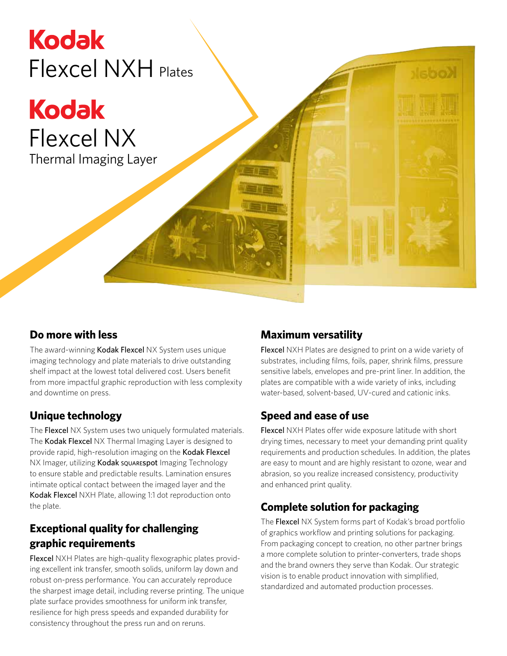# **Kodak** Flexcel NXH Plates

**Kodak** Flexcel NX Thermal Imaging Layer

#### **Do more with less**

The award-winning Kodak Flexcel NX System uses unique imaging technology and plate materials to drive outstanding shelf impact at the lowest total delivered cost. Users benefit from more impactful graphic reproduction with less complexity and downtime on press.

#### **Unique technology**

The Flexcel NX System uses two uniquely formulated materials. The Kodak Flexcel NX Thermal Imaging Layer is designed to provide rapid, high-resolution imaging on the Kodak Flexcel NX Imager, utilizing Kodak squarespot Imaging Technology to ensure stable and predictable results. Lamination ensures intimate optical contact between the imaged layer and the Kodak Flexcel NXH Plate, allowing 1:1 dot reproduction onto the plate.

#### **Exceptional quality for challenging graphic requirements**

Flexcel NXH Plates are high-quality flexographic plates providing excellent ink transfer, smooth solids, uniform lay down and robust on-press performance. You can accurately reproduce the sharpest image detail, including reverse printing. The unique plate surface provides smoothness for uniform ink transfer, resilience for high press speeds and expanded durability for consistency throughout the press run and on reruns.

## **Maximum versatility**

Flexcel NXH Plates are designed to print on a wide variety of substrates, including films, foils, paper, shrink films, pressure sensitive labels, envelopes and pre-print liner. In addition, the plates are compatible with a wide variety of inks, including water-based, solvent-based, UV-cured and cationic inks.

## **Speed and ease of use**

Flexcel NXH Plates offer wide exposure latitude with short drying times, necessary to meet your demanding print quality requirements and production schedules. In addition, the plates are easy to mount and are highly resistant to ozone, wear and abrasion, so you realize increased consistency, productivity and enhanced print quality.

## **Complete solution for packaging**

The Flexcel NX System forms part of Kodak's broad portfolio of graphics workflow and printing solutions for packaging. From packaging concept to creation, no other partner brings a more complete solution to printer-converters, trade shops and the brand owners they serve than Kodak. Our strategic vision is to enable product innovation with simplified, standardized and automated production processes.